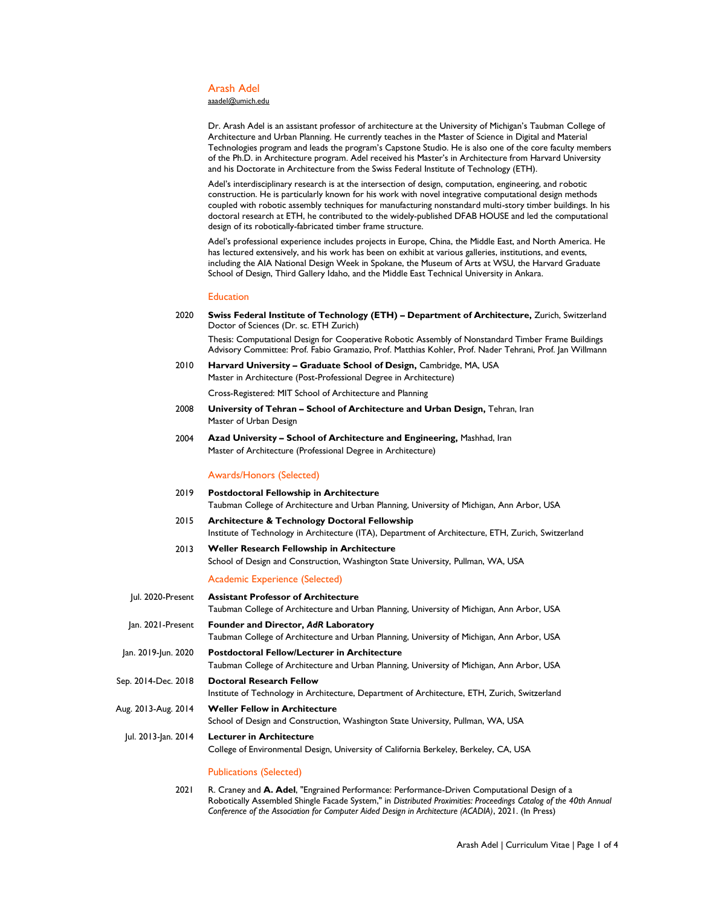#### Arash Adel

[aaadel@umich.edu](mailto:aaadel@umich.edu)

Dr. Arash Adel is an assistant professor of architecture at the University of Michigan's Taubman College of Architecture and Urban Planning. He currently teaches in the Master of Science in Digital and Material Technologies program and leads the program's Capstone Studio. He is also one of the core faculty members of the Ph.D. in Architecture program. Adel received his Master's in Architecture from Harvard University and his Doctorate in Architecture from the Swiss Federal Institute of Technology (ETH).

Adel's interdisciplinary research is at the intersection of design, computation, engineering, and robotic construction. He is particularly known for his work with novel integrative computational design methods coupled with robotic assembly techniques for manufacturing nonstandard multi-story timber buildings. In his doctoral research at ETH, he contributed to the widely-published DFAB HOUSE and led the computational design of its robotically-fabricated timber frame structure.

Adel's professional experience includes projects in Europe, China, the Middle East, and North America. He has lectured extensively, and his work has been on exhibit at various galleries, institutions, and events, including the AIA National Design Week in Spokane, the Museum of Arts at WSU, the Harvard Graduate School of Design, Third Gallery Idaho, and the Middle East Technical University in Ankara.

### Education

- 2020 **Swiss Federal Institute of Technology (ETH) – [Department of Architecture,](http://www.arch.ethz.ch/en)** Zurich, Switzerland Doctor of Sciences (Dr. sc. ETH Zurich) Thesis: Computational Design for Cooperative Robotic Assembly of Nonstandard Timber Frame Buildings Advisory Committee: Prof. Fabio Gramazio, Prof. Matthias Kohler, Prof. Nader Tehrani, Prof. Jan Willmann
- 2010 **Harvard University – Graduate School of Design,** Cambridge, MA, USA Master in Architecture (Post-Professional Degree in Architecture)

Cross-Registered: MIT School of Architecture and Planning

- 2008 **University of Tehran – School of Architecture and Urban Design,** Tehran, Iran Master of Urban Design
- 2004 **Azad University – School of Architecture and Engineering,** Mashhad, Iran Master of Architecture (Professional Degree in Architecture)

#### Awards/Honors (Selected)

- 2019 **Postdoctoral Fellowship in Architecture** Taubman College of Architecture and Urban Planning, University of Michigan, Ann Arbor, USA
- 2015 **Architecture & Technology Doctoral Fellowship** Institute of Technology in Architecture (ITA), Department of Architecture, ETH, Zurich, Switzerland
- 2013 **Weller Research Fellowship in Architecture** School of Design and Construction, Washington State University, Pullman, WA, USA

Academic Experience (Selected)

| Jul. 2020-Present   | <b>Assistant Professor of Architecture</b>                                                    |
|---------------------|-----------------------------------------------------------------------------------------------|
|                     | Taubman College of Architecture and Urban Planning, University of Michigan, Ann Arbor, USA    |
| lan. 2021-Present   | Founder and Director, AdR Laboratory                                                          |
|                     | Taubman College of Architecture and Urban Planning, University of Michigan, Ann Arbor, USA    |
| Jan. 2019-Jun. 2020 | <b>Postdoctoral Fellow/Lecturer in Architecture</b>                                           |
|                     | Taubman College of Architecture and Urban Planning, University of Michigan, Ann Arbor, USA    |
| Sep. 2014-Dec. 2018 | <b>Doctoral Research Fellow</b>                                                               |
|                     | Institute of Technology in Architecture, Department of Architecture, ETH, Zurich, Switzerland |
| Aug. 2013-Aug. 2014 | <b>Weller Fellow in Architecture</b>                                                          |
|                     | School of Design and Construction, Washington State University, Pullman, WA, USA              |
| Jul. 2013-Jan. 2014 | <b>Lecturer in Architecture</b>                                                               |
|                     | College of Environmental Design, University of California Berkeley, Berkeley, CA, USA         |
|                     | <b>Publications (Selected)</b>                                                                |

2021 R. Craney and **A. Adel**, "Engrained Performance: Performance-Driven Computational Design of a Robotically Assembled Shingle Facade System," in *Distributed Proximities: Proceedings Catalog of the 40th Annual Conference of the Association for Computer Aided Design in Architecture (ACADIA)*, 2021. (In Press)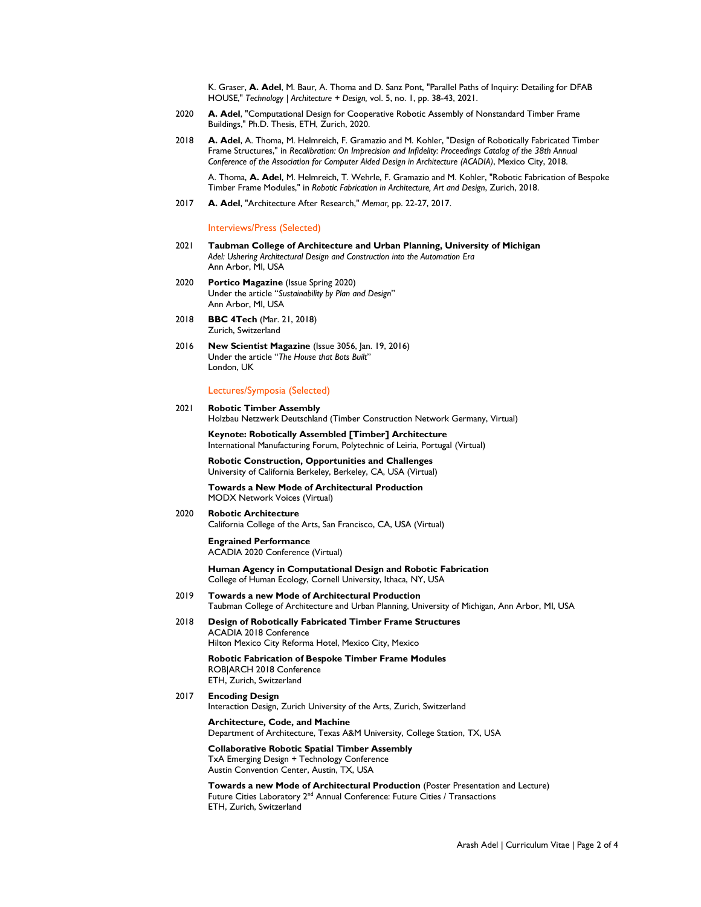K. Graser, **A. Adel**, M. Baur, A. Thoma and D. Sanz Pont, "Parallel Paths of Inquiry: Detailing for DFAB HOUSE," *Technology | Architecture + Design,* vol. 5, no. 1, pp. 38-43, 2021.

- 2020 **A. Adel**, "Computational Design for Cooperative Robotic Assembly of Nonstandard Timber Frame Buildings," Ph.D. Thesis, ETH, Zurich, 2020.
- 2018 **A. Adel**, A. Thoma, M. Helmreich, F. Gramazio and M. Kohler, "Design of Robotically Fabricated Timber Frame Structures," in *Recalibration: On Imprecision and Infidelity: Proceedings Catalog of the 38th Annual Conference of the Association for Computer Aided Design in Architecture (ACADIA)*, Mexico City, 2018.

A. Thoma, **A. Adel**, M. Helmreich, T. Wehrle, F. Gramazio and M. Kohler, "Robotic Fabrication of Bespoke Timber Frame Modules," in *Robotic Fabrication in Architecture, Art and Design*, Zurich, 2018.

2017 **A. Adel**, "Architecture After Research," *Memar,* pp. 22-27, 2017.

Interviews/Press (Selected)

- 2021 **Taubman College of Architecture and Urban Planning, University of Michigan** *Adel: Ushering Architectural Design and Construction into the Automation Era* Ann Arbor, MI, USA
- 2020 **Portico Magazine** (Issue Spring 2020) Under the article "*Sustainability by Plan and Design*" Ann Arbor, MI, USA
- 2018 **BBC 4Tech** (Mar. 21, 2018) Zurich, Switzerland
- 2016 **New Scientist Magazine** (Issue 3056, Jan. 19, 2016) Under the article "*The House that Bots Built*" London, UK

Lectures/Symposia (Selected)

#### 2021 **Robotic Timber Assembly** Holzbau Netzwerk Deutschland (Timber Construction Network Germany, Virtual)

**Keynote: Robotically Assembled [Timber] Architecture** International Manufacturing Forum, Polytechnic of Leiria, Portugal (Virtual)

**Robotic Construction, Opportunities and Challenges** University of California Berkeley, Berkeley, CA, USA (Virtual)

**Towards a New Mode of Architectural Production** MODX Network Voices (Virtual)

#### 2020 **Robotic Architecture** California College of the Arts, San Francisco, CA, USA (Virtual)

**Engrained Performance** ACADIA 2020 Conference (Virtual)

**Human Agency in Computational Design and Robotic Fabrication** College of Human Ecology, Cornell University, Ithaca, NY, USA

- 2019 **Towards a new Mode of Architectural Production** Taubman College of Architecture and Urban Planning, University of Michigan, Ann Arbor, MI, USA
- 2018 **Design of Robotically Fabricated Timber Frame Structures** ACADIA 2018 Conference Hilton Mexico City Reforma Hotel, Mexico City, Mexico

**Robotic Fabrication of Bespoke Timber Frame Modules** ROB|ARCH 2018 Conference ETH, Zurich, Switzerland

2017 **Encoding Design** Interaction Design, Zurich University of the Arts, Zurich, Switzerland

> **Architecture, Code, and Machine** Department of Architecture, Texas A&M University, College Station, TX, USA

**Collaborative Robotic Spatial Timber Assembly** TxA Emerging Design + Technology Conference Austin Convention Center, Austin, TX, USA

**Towards a new Mode of Architectural Production** (Poster Presentation and Lecture) Future Cities Laboratory 2<sup>nd</sup> Annual Conference: Future Cities / Transactions ETH, Zurich, Switzerland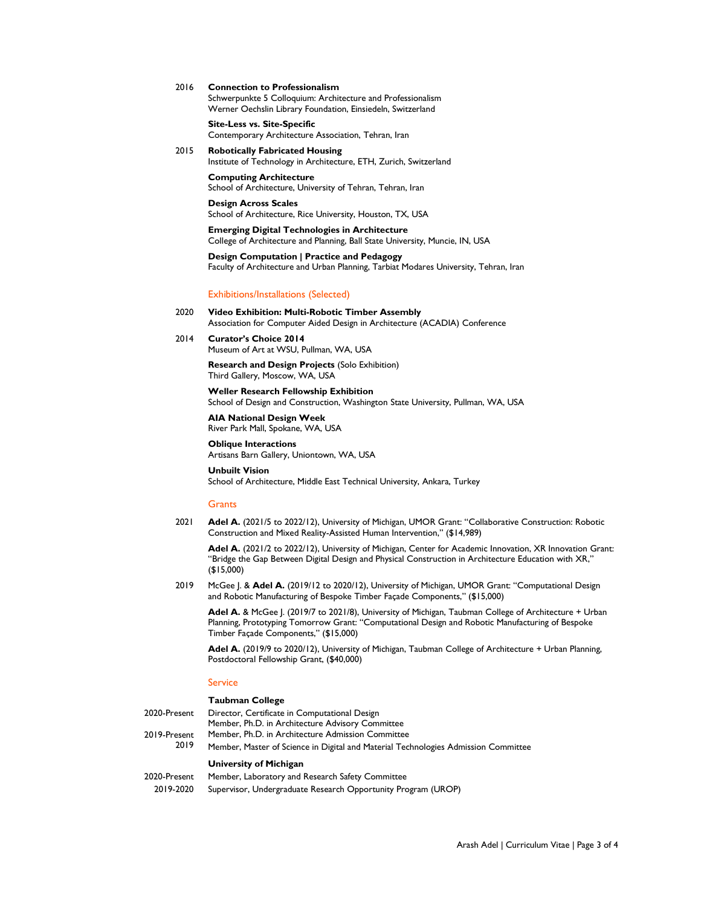2016 **Connection to Professionalism**

Schwerpunkte 5 Colloquium: Architecture and Professionalism Werner Oechslin Library Foundation, Einsiedeln, Switzerland

**Site-Less vs. Site-Specific**  Contemporary Architecture Association, Tehran, Iran

2015 **Robotically Fabricated Housing**  Institute of Technology in Architecture, ETH, Zurich, Switzerland

> **Computing Architecture**  School of Architecture, University of Tehran, Tehran, Iran

**Design Across Scales**  School of Architecture, Rice University, Houston, TX, USA

**Emerging Digital Technologies in Architecture**  College of Architecture and Planning, Ball State University, Muncie, IN, USA

**Design Computation | Practice and Pedagogy** Faculty of Architecture and Urban Planning, Tarbiat Modares University, Tehran, Iran

Exhibitions/Installations (Selected)

- 2020 **Video Exhibition: Multi-Robotic Timber Assembly** Association for Computer Aided Design in Architecture (ACADIA) Conference
- 2014 **Curator's Choice 2014** Museum of Art at WSU, Pullman, WA, USA

**Research and Design Projects** (Solo Exhibition) Third Gallery, Moscow, WA, USA

**Weller Research Fellowship Exhibition** School of Design and Construction, Washington State University, Pullman, WA, USA

**AIA National Design Week** River Park Mall, Spokane, WA, USA

**Oblique Interactions** Artisans Barn Gallery, Uniontown, WA, USA

**Unbuilt Vision**  School of Architecture, Middle East Technical University, Ankara, Turkey

## **Grants**

2021 **Adel A.** (2021/5 to 2022/12), University of Michigan, UMOR Grant: "Collaborative Construction: Robotic Construction and Mixed Reality-Assisted Human Intervention," (\$14,989)

Adel A. (2021/2 to 2022/12), University of Michigan, Center for Academic Innovation, XR Innovation Grant: "Bridge the Gap Between Digital Design and Physical Construction in Architecture Education with XR," (\$15,000)

2019 McGee J. & **Adel A.** (2019/12 to 2020/12), University of Michigan, UMOR Grant: "Computational Design and Robotic Manufacturing of Bespoke Timber Façade Components," (\$15,000)

**Adel A.** & McGee J. (2019/7 to 2021/8), University of Michigan, Taubman College of Architecture + Urban Planning, Prototyping Tomorrow Grant: "Computational Design and Robotic Manufacturing of Bespoke Timber Façade Components," (\$15,000)

Adel A. (2019/9 to 2020/12), University of Michigan, Taubman College of Architecture + Urban Planning, Postdoctoral Fellowship Grant, (\$40,000)

#### **Service**

#### **Taubman College**

2020-Present Director, Certificate in Computational Design Member, Ph.D. in Architecture Advisory Committee 2019-Present 2019 Member, Ph.D. in Architecture Admission Committee Member, Master of Science in Digital and Material Technologies Admission Committee

### **University of Michigan**

2020-Present Member, Laboratory and Research Safety Committee 2019-2020 Supervisor, Undergraduate Research Opportunity Program (UROP)